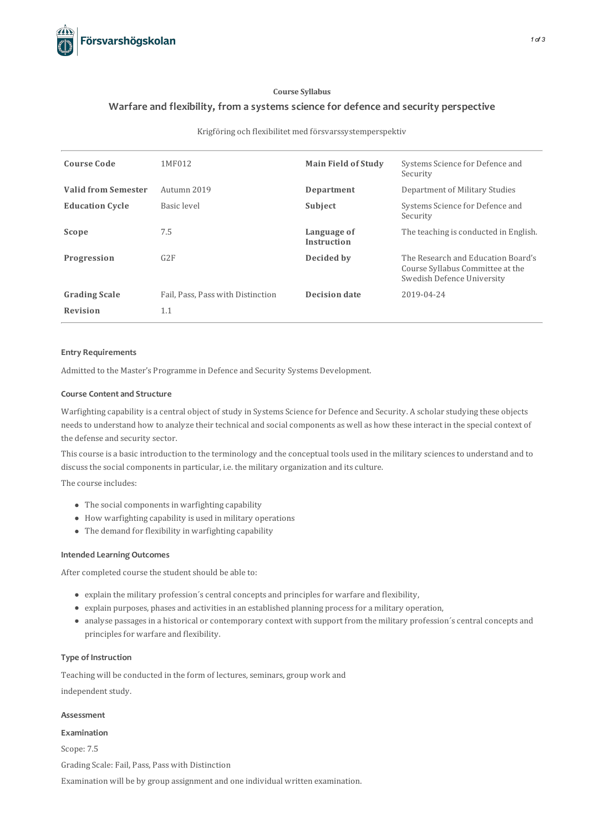

## **Course Syllabus**

# **Warfare and flexibility, from asystems science for defence and security perspective**

## Krigföring och flexibilitet med försvarssystemperspektiv

| <b>Course Code</b>         | 1MF012                            | <b>Main Field of Study</b>        | Systems Science for Defence and<br>Security                                                          |
|----------------------------|-----------------------------------|-----------------------------------|------------------------------------------------------------------------------------------------------|
| <b>Valid from Semester</b> | Autumn 2019                       | Department                        | Department of Military Studies                                                                       |
| <b>Education Cycle</b>     | Basic level                       | Subject                           | Systems Science for Defence and<br>Security                                                          |
| Scope                      | 7.5                               | Language of<br><b>Instruction</b> | The teaching is conducted in English.                                                                |
| Progression                | G2F                               | Decided by                        | The Research and Education Board's<br>Course Syllabus Committee at the<br>Swedish Defence University |
| <b>Grading Scale</b>       | Fail, Pass, Pass with Distinction | <b>Decision date</b>              | 2019-04-24                                                                                           |
| <b>Revision</b>            | 1.1                               |                                   |                                                                                                      |

## **Entry Requirements**

Admitted to the Master's Programme in Defence and Security Systems Development.

## **Course Contentand Structure**

Warfighting capability is a central object of study in Systems Science for Defence and Security. A scholar studying these objects needs to understand how to analyze their technical and social components as well as how these interact in the special context of the defense and security sector.

Thiscourse is a basic introduction to the terminology and the conceptual tools used in the military sciencesto understand and to discuss the social components in particular, i.e. the military organization and its culture.

The course includes:

- $\bullet$  The social components in warfighting capability
- How warfighting capability is used in military operations
- The demand for flexibility in warfighting capability

## **Intended Learning Outcomes**

After completed course the student should be able to:

- explain the military profession's central concepts and principles for warfare and flexibility,
- explain purposes, phases and activitiesin an established planning processfor a military operation,
- analyse passages in a historical or contemporary context with support from the military profession's central concepts and principles for warfare and flexibility.

## **Type of Instruction**

Teaching will be conducted in the form of lectures, seminars, group work and independent study.

#### **Assessment**

## **Examination**

Scope: 7.5

Grading Scale: Fail, Pass, Pass with Distinction

Examination will be by group assignment and one individual written examination.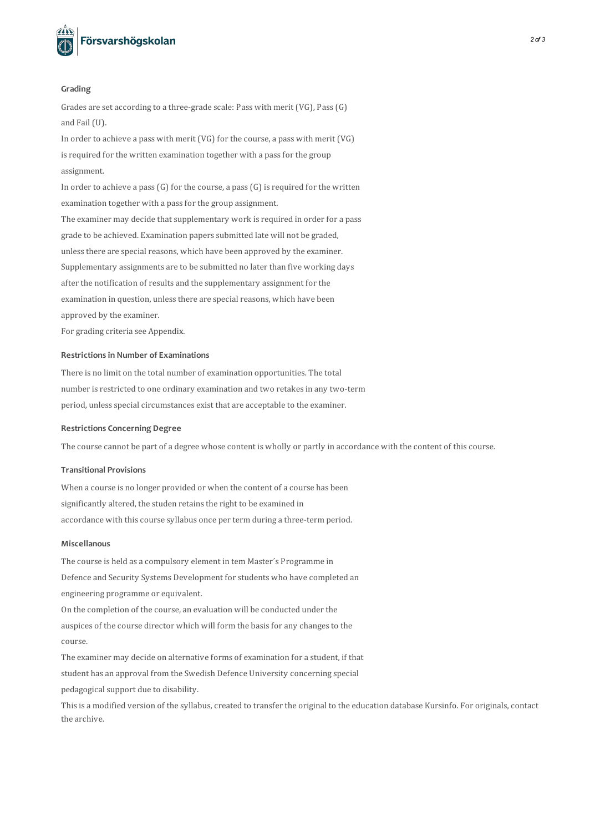

#### **Grading**

Grades are set according to a three-grade scale: Pass with merit (VG), Pass(G) and Fail (U).

In order to achieve a pass with merit (VG) for the course, a pass with merit (VG) is required for the written examination together with a pass for the group assignment.

In order to achieve a pass  $(G)$  for the course, a pass  $(G)$  is required for the written examination together with a pass for the group assignment. The examiner may decide that supplementary work is required in order for a pass grade to be achieved. Examination papers submitted late will not be graded, unless there are special reasons, which have been approved by the examiner. Supplementary assignments are to be submitted no later than five working days after the notification of results and the supplementary assignment for the examination in question, unless there are special reasons, which have been approved by the examiner.

For grading criteria see Appendix.

### **Restrictionsin Number of Examinations**

There is no limit on the total number of examination opportunities. The total number is restricted to one ordinary examination and two retakes in any two-term period, unless special circumstances exist that are acceptable to the examiner.

#### **Restrictions Concerning Degree**

The course cannot be part of a degree whose content is wholly or partly in accordance with the content of thiscourse.

## **Transitional Provisions**

When a course is no longer provided or when the content of a course has been significantly altered, the studen retains the right to be examined in accordance with this course syllabus once per term during a three-term period.

## **Miscellanous**

The course is held as a compulsory element in tem Master´s Programme in Defence and Security Systems Development for students who have completed an engineering programme or equivalent.

On the completion of the course, an evaluation will be conducted under the auspices of the course director which will form the basis for any changes to the course.

The examiner may decide on alternative forms of examination for a student, if that student has an approval from the Swedish Defence University concerning special pedagogical support due to disability.

This is a modified version of the syllabus, created to transfer the original to the education database Kursinfo. For originals, contact the archive.